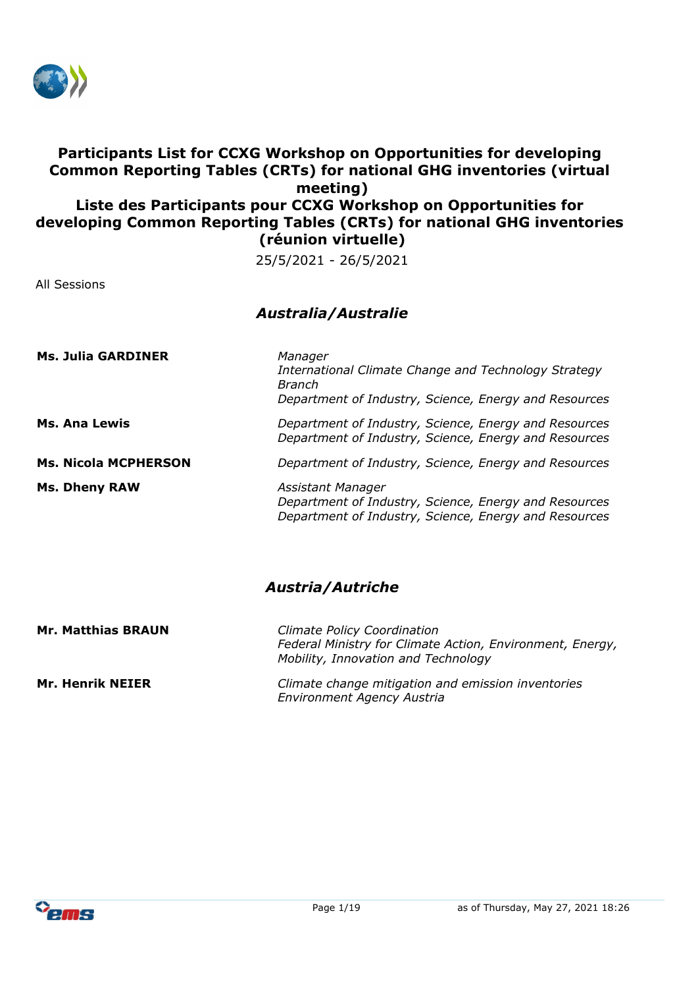

## **Participants List for CCXG Workshop on Opportunities for developing Common Reporting Tables (CRTs) for national GHG inventories (virtual meeting) Liste des Participants pour CCXG Workshop on Opportunities for developing Common Reporting Tables (CRTs) for national GHG inventories (réunion virtuelle)**

25/5/2021 - 26/5/2021

All Sessions

## *Australia/Australie*

| <b>Ms. Julia GARDINER</b>   | Manager<br>International Climate Change and Technology Strategy<br><b>Branch</b><br>Department of Industry, Science, Energy and Resources |
|-----------------------------|-------------------------------------------------------------------------------------------------------------------------------------------|
| Ms. Ana Lewis               | Department of Industry, Science, Energy and Resources<br>Department of Industry, Science, Energy and Resources                            |
| <b>Ms. Nicola MCPHERSON</b> | Department of Industry, Science, Energy and Resources                                                                                     |
| <b>Ms. Dheny RAW</b>        | Assistant Manager<br>Department of Industry, Science, Energy and Resources<br>Department of Industry, Science, Energy and Resources       |

#### *Austria/Autriche*

| <b>Mr. Matthias BRAUN</b> | <b>Climate Policy Coordination</b><br>Federal Ministry for Climate Action, Environment, Energy,<br>Mobility, Innovation and Technology |
|---------------------------|----------------------------------------------------------------------------------------------------------------------------------------|
| <b>Mr. Henrik NEIER</b>   | Climate change mitigation and emission inventories<br><b>Environment Agency Austria</b>                                                |

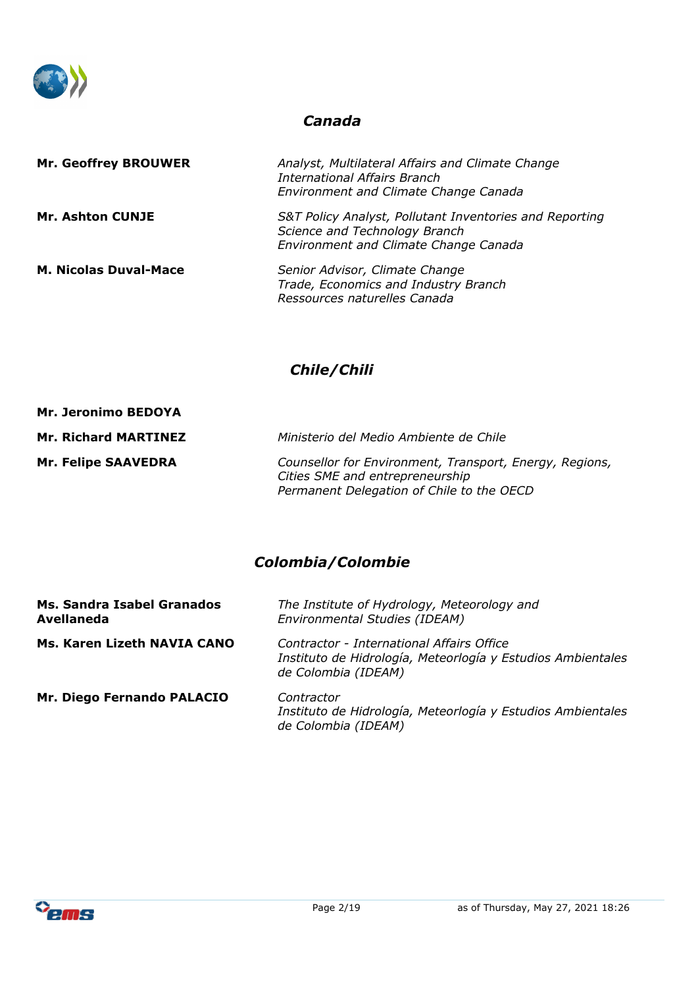

#### *Canada*

| <b>Mr. Geoffrey BROUWER</b>  | Analyst, Multilateral Affairs and Climate Change<br>International Affairs Branch<br>Environment and Climate Change Canada         |
|------------------------------|-----------------------------------------------------------------------------------------------------------------------------------|
| <b>Mr. Ashton CUNJE</b>      | S&T Policy Analyst, Pollutant Inventories and Reporting<br>Science and Technology Branch<br>Environment and Climate Change Canada |
| <b>M. Nicolas Duval-Mace</b> | Senior Advisor, Climate Change<br>Trade, Economics and Industry Branch<br>Ressources naturelles Canada                            |

# *Chile/Chili*

| <b>Mr. Jeronimo BEDOYA</b>  |                                                                                                                                         |
|-----------------------------|-----------------------------------------------------------------------------------------------------------------------------------------|
| <b>Mr. Richard MARTINEZ</b> | Ministerio del Medio Ambiente de Chile                                                                                                  |
| <b>Mr. Felipe SAAVEDRA</b>  | Counsellor for Environment, Transport, Energy, Regions,<br>Cities SME and entrepreneurship<br>Permanent Delegation of Chile to the OECD |

# *Colombia/Colombie*

| Ms. Sandra Isabel Granados<br>Avellaneda | The Institute of Hydrology, Meteorology and<br>Environmental Studies (IDEAM)                                                    |
|------------------------------------------|---------------------------------------------------------------------------------------------------------------------------------|
| Ms. Karen Lizeth NAVIA CANO              | Contractor - International Affairs Office<br>Instituto de Hidrología, Meteorlogía y Estudios Ambientales<br>de Colombia (IDEAM) |
| Mr. Diego Fernando PALACIO               | Contractor<br>Instituto de Hidrología, Meteorlogía y Estudios Ambientales<br>de Colombia (IDEAM)                                |

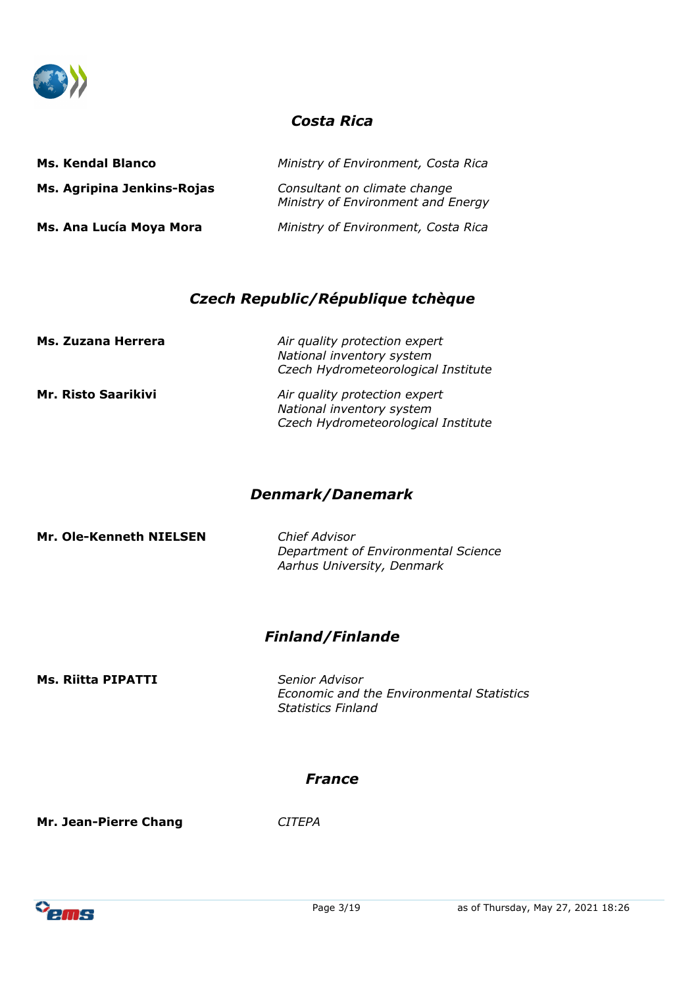

#### *Costa Rica*

| <b>Ms. Kendal Blanco</b>   | Ministry of Environment, Costa Rica                                |
|----------------------------|--------------------------------------------------------------------|
| Ms. Agripina Jenkins-Rojas | Consultant on climate change<br>Ministry of Environment and Energy |
| Ms. Ana Lucía Moya Mora    | Ministry of Environment, Costa Rica                                |

#### *Czech Republic/République tchèque*

| Ms. Zuzana Herrera         | Air quality protection expert<br>National inventory system<br>Czech Hydrometeorological Institute |
|----------------------------|---------------------------------------------------------------------------------------------------|
| <b>Mr. Risto Saarikivi</b> | Air quality protection expert<br>National inventory system<br>Czech Hydrometeorological Institute |

#### *Denmark/Danemark*

**Mr. Ole-Kenneth NIELSEN** *Chief Advisor*

*Department of Environmental Science Aarhus University, Denmark*

### *Finland/Finlande*

**Ms. Riitta PIPATTI** *Senior Advisor*

*Economic and the Environmental Statistics Statistics Finland*

#### *France*

**Mr. Jean-Pierre Chang** *CITEPA*

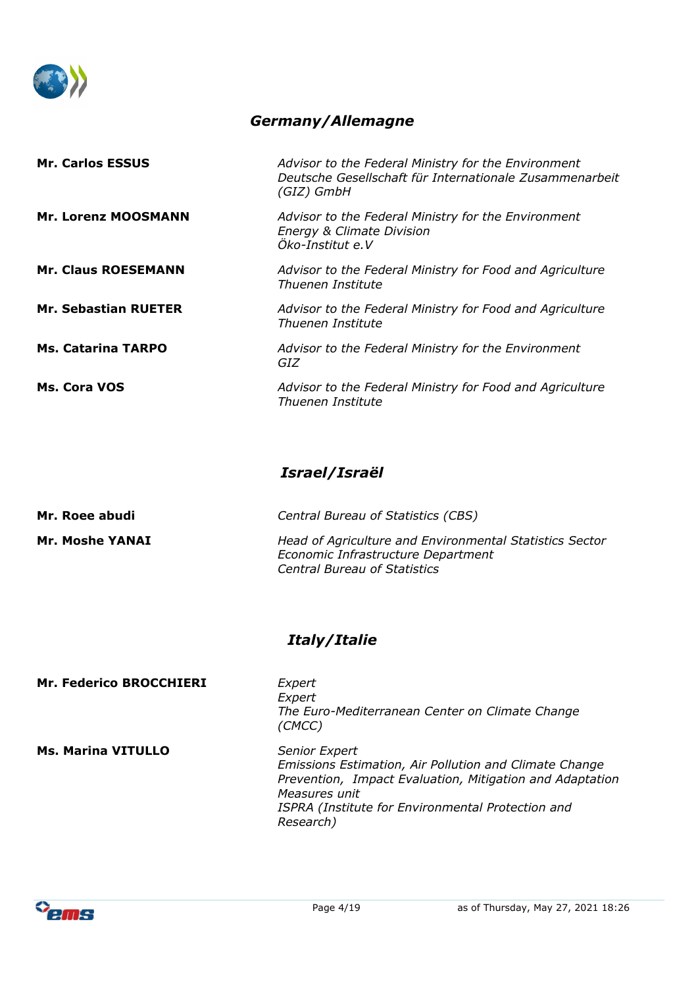

# *Germany/Allemagne*

| <b>Mr. Carlos ESSUS</b>     | Advisor to the Federal Ministry for the Environment<br>Deutsche Gesellschaft für Internationale Zusammenarbeit<br>(GIZ) GmbH |
|-----------------------------|------------------------------------------------------------------------------------------------------------------------------|
| <b>Mr. Lorenz MOOSMANN</b>  | Advisor to the Federal Ministry for the Environment<br>Energy & Climate Division<br>Öko-Institut e.V                         |
| <b>Mr. Claus ROESEMANN</b>  | Advisor to the Federal Ministry for Food and Agriculture<br>Thuenen Institute                                                |
| <b>Mr. Sebastian RUETER</b> | Advisor to the Federal Ministry for Food and Agriculture<br>Thuenen Institute                                                |
| <b>Ms. Catarina TARPO</b>   | Advisor to the Federal Ministry for the Environment<br>GIZ                                                                   |
| Ms. Cora VOS                | Advisor to the Federal Ministry for Food and Agriculture<br>Thuenen Institute                                                |

# *Israel/Israël*

| Mr. Roee abudi         | Central Bureau of Statistics (CBS)                                                                                                   |
|------------------------|--------------------------------------------------------------------------------------------------------------------------------------|
| <b>Mr. Moshe YANAI</b> | Head of Agriculture and Environmental Statistics Sector<br>Economic Infrastructure Department<br><b>Central Bureau of Statistics</b> |

# *Italy/Italie*

| <b>Mr. Federico BROCCHIERI</b> | Expert<br>Expert<br>The Euro-Mediterranean Center on Climate Change<br>(CMCC)                                                                                                                                                 |
|--------------------------------|-------------------------------------------------------------------------------------------------------------------------------------------------------------------------------------------------------------------------------|
| <b>Ms. Marina VITULLO</b>      | <b>Senior Expert</b><br>Emissions Estimation, Air Pollution and Climate Change<br>Prevention, Impact Evaluation, Mitigation and Adaptation<br>Measures unit<br>ISPRA (Institute for Environmental Protection and<br>Research) |

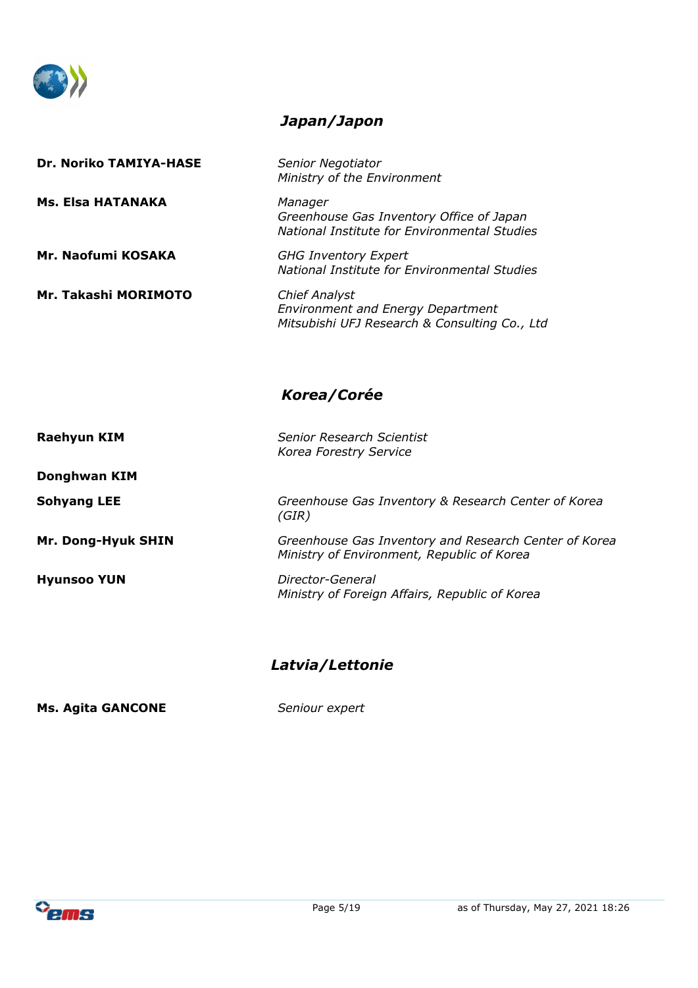

### *Japan/Japon*

| <b>Dr. Noriko TAMIYA-HASE</b> | Senior Negotiator<br>Ministry of the Environment                                                                  |
|-------------------------------|-------------------------------------------------------------------------------------------------------------------|
| Ms. Elsa HATANAKA             | Manager<br>Greenhouse Gas Inventory Office of Japan<br>National Institute for Environmental Studies               |
| Mr. Naofumi KOSAKA            | <b>GHG Inventory Expert</b><br>National Institute for Environmental Studies                                       |
| Mr. Takashi MORIMOTO          | <b>Chief Analyst</b><br><b>Environment and Energy Department</b><br>Mitsubishi UFJ Research & Consulting Co., Ltd |
|                               |                                                                                                                   |

# *Korea/Corée*

| <b>Raehyun KIM</b> | Senior Research Scientist<br>Korea Forestry Service                                                 |
|--------------------|-----------------------------------------------------------------------------------------------------|
| Donghwan KIM       |                                                                                                     |
| <b>Sohyang LEE</b> | Greenhouse Gas Inventory & Research Center of Korea<br>(GIR)                                        |
| Mr. Dong-Hyuk SHIN | Greenhouse Gas Inventory and Research Center of Korea<br>Ministry of Environment, Republic of Korea |
| <b>Hyunsoo YUN</b> | Director-General<br>Ministry of Foreign Affairs, Republic of Korea                                  |

# *Latvia/Lettonie*

**Ms. Agita GANCONE** *Seniour expert*

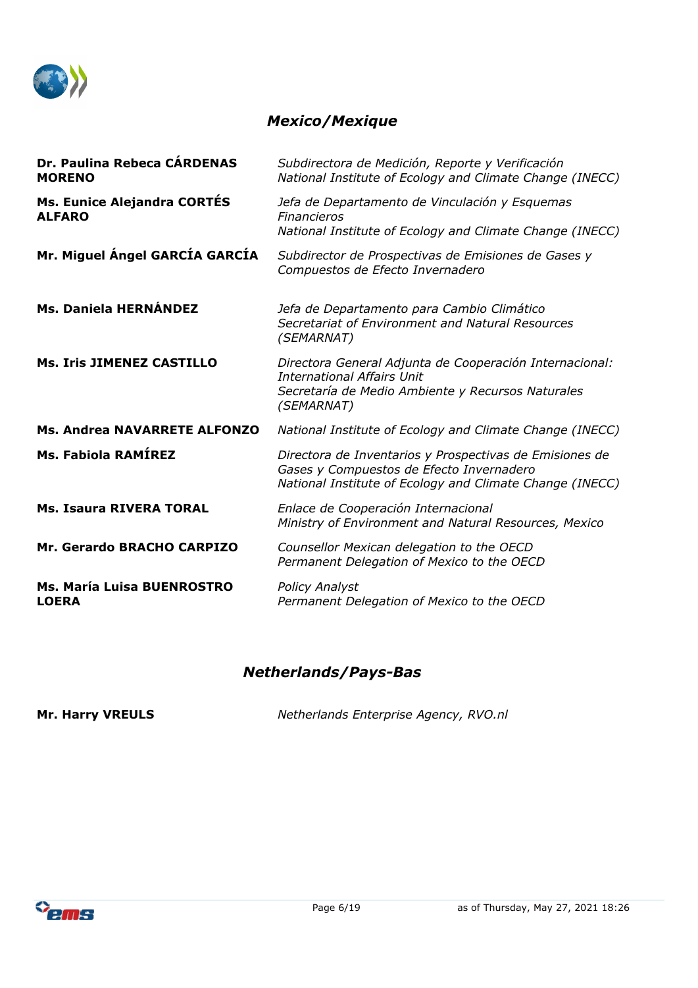

## *Mexico/Mexique*

| Dr. Paulina Rebeca CÁRDENAS<br><b>MORENO</b>        | Subdirectora de Medición, Reporte y Verificación<br>National Institute of Ecology and Climate Change (INECC)                                                    |
|-----------------------------------------------------|-----------------------------------------------------------------------------------------------------------------------------------------------------------------|
| <b>Ms. Eunice Alejandra CORTÉS</b><br><b>ALFARO</b> | Jefa de Departamento de Vinculación y Esquemas<br><b>Financieros</b><br>National Institute of Ecology and Climate Change (INECC)                                |
| Mr. Miguel Ángel GARCÍA GARCÍA                      | Subdirector de Prospectivas de Emisiones de Gases y<br>Compuestos de Efecto Invernadero                                                                         |
| <b>Ms. Daniela HERNÁNDEZ</b>                        | Jefa de Departamento para Cambio Climático<br>Secretariat of Environment and Natural Resources<br>(SEMARNAT)                                                    |
| <b>Ms. Iris JIMENEZ CASTILLO</b>                    | Directora General Adjunta de Cooperación Internacional:<br><b>International Affairs Unit</b><br>Secretaría de Medio Ambiente y Recursos Naturales<br>(SEMARNAT) |
| Ms. Andrea NAVARRETE ALFONZO                        | National Institute of Ecology and Climate Change (INECC)                                                                                                        |
| Ms. Fabiola RAMÍREZ                                 | Directora de Inventarios y Prospectivas de Emisiones de<br>Gases y Compuestos de Efecto Invernadero<br>National Institute of Ecology and Climate Change (INECC) |
| <b>Ms. Isaura RIVERA TORAL</b>                      | Enlace de Cooperación Internacional<br>Ministry of Environment and Natural Resources, Mexico                                                                    |
| Mr. Gerardo BRACHO CARPIZO                          | Counsellor Mexican delegation to the OECD<br>Permanent Delegation of Mexico to the OECD                                                                         |
| Ms. María Luisa BUENROSTRO<br><b>LOERA</b>          | <b>Policy Analyst</b><br>Permanent Delegation of Mexico to the OECD                                                                                             |

## *Netherlands/Pays-Bas*

**Mr. Harry VREULS** *Netherlands Enterprise Agency, RVO.nl*

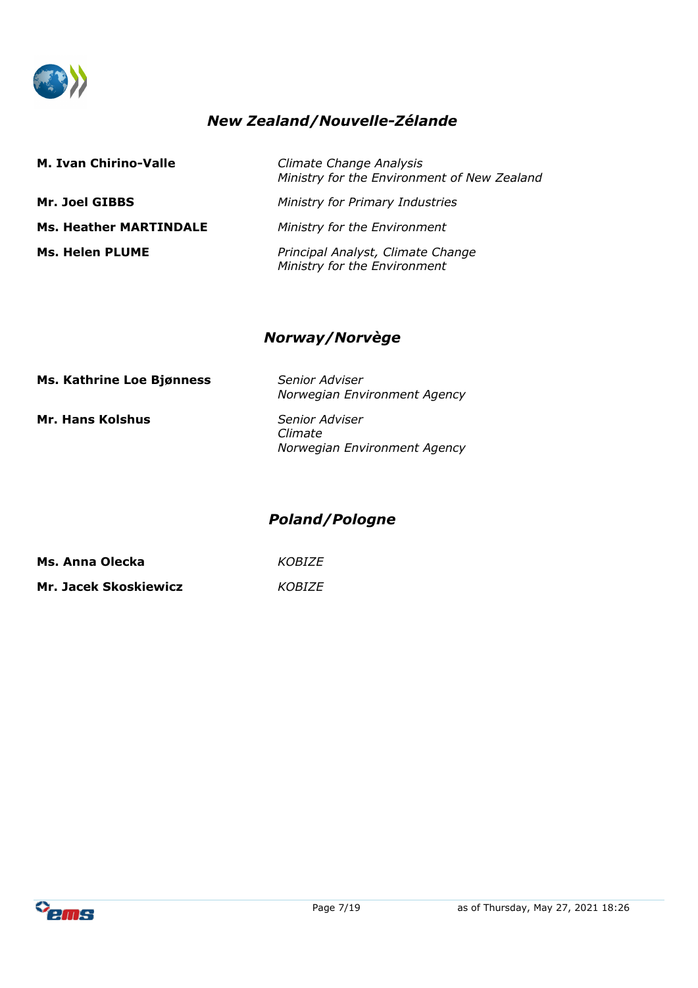

# *New Zealand/Nouvelle-Zélande*

| <b>M. Ivan Chirino-Valle</b>  | Climate Change Analysis<br>Ministry for the Environment of New Zealand |
|-------------------------------|------------------------------------------------------------------------|
| Mr. Joel GIBBS                | Ministry for Primary Industries                                        |
| <b>Ms. Heather MARTINDALE</b> | Ministry for the Environment                                           |
| <b>Ms. Helen PLUME</b>        | Principal Analyst, Climate Change<br>Ministry for the Environment      |

#### *Norway/Norvège*

| Ms. Kathrine Loe Bjønness | Senior Adviser<br>Norwegian Environment Agency                   |
|---------------------------|------------------------------------------------------------------|
| <b>Mr. Hans Kolshus</b>   | <b>Senior Adviser</b><br>Climate<br>Norwegian Environment Agency |

## *Poland/Pologne*

**Ms. Anna Olecka** *KOBIZE* **Mr. Jacek Skoskiewicz** *KOBIZE*

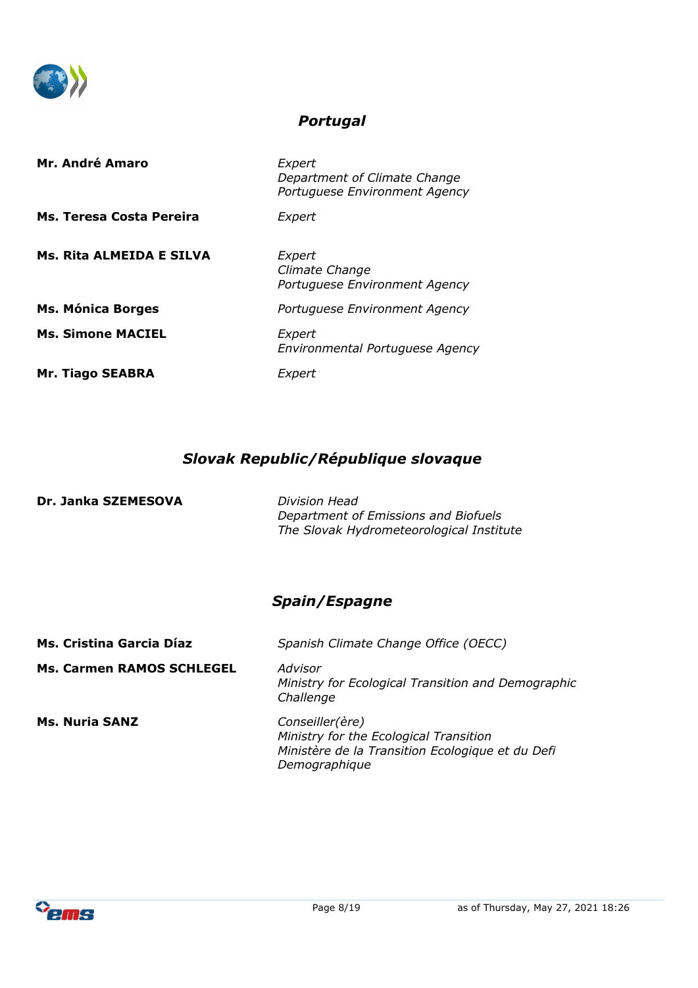

#### *Portugal*

| Mr. André Amaro          | Expert<br>Department of Climate Change<br>Portuguese Environment Agency |
|--------------------------|-------------------------------------------------------------------------|
| Ms. Teresa Costa Pereira | Expert                                                                  |
| Ms. Rita ALMEIDA E SILVA | Expert<br>Climate Change<br>Portuguese Environment Agency               |
| <b>Ms. Mónica Borges</b> | Portuguese Environment Agency                                           |
| <b>Ms. Simone MACIEL</b> | Expert<br>Environmental Portuguese Agency                               |
| <b>Mr. Tiago SEABRA</b>  | <i>Expert</i>                                                           |

# *Slovak Republic/République slovaque*

**Dr. Janka SZEMESOVA** *Division Head*

*Department of Emissions and Biofuels The Slovak Hydrometeorological Institute*

## *Spain/Espagne*

| Ms. Cristina Garcia Díaz         | Spanish Climate Change Office (OECC)                                                                                           |  |
|----------------------------------|--------------------------------------------------------------------------------------------------------------------------------|--|
| <b>Ms. Carmen RAMOS SCHLEGEL</b> | Advisor<br>Ministry for Ecological Transition and Demographic<br>Challenge                                                     |  |
| <b>Ms. Nuria SANZ</b>            | Conseiller(ère)<br>Ministry for the Ecological Transition<br>Ministère de la Transition Ecologique et du Defi<br>Demographique |  |

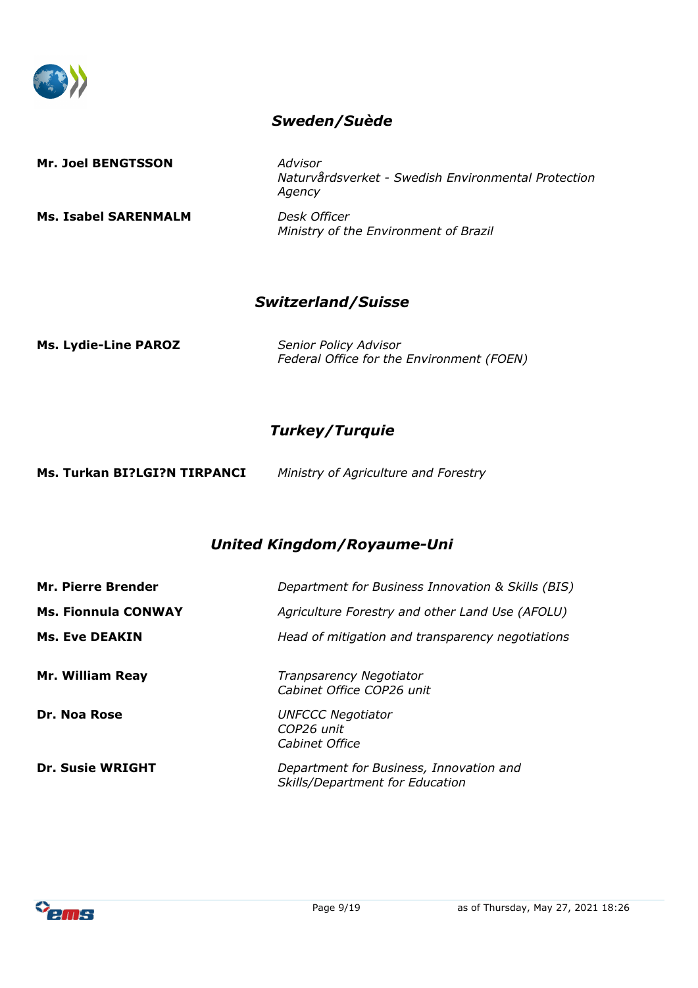

#### *Sweden/Suède*

**Mr. Joel BENGTSSON** *Advisor*

**Ms. Isabel SARENMALM** *Desk Officer*

*Naturvårdsverket - Swedish Environmental Protection Agency*

*Ministry of the Environment of Brazil*

#### *Switzerland/Suisse*

**Ms. Lydie-Line PAROZ** *Senior Policy Advisor*

*Federal Office for the Environment (FOEN)*

## *Turkey/Turquie*

| Ms. Turkan BI?LGI?N TIRPANCI | Ministry of Agriculture and Forestry |
|------------------------------|--------------------------------------|
|------------------------------|--------------------------------------|

## *United Kingdom/Royaume-Uni*

| <b>Mr. Pierre Brender</b>  | Department for Business Innovation & Skills (BIS)                          |
|----------------------------|----------------------------------------------------------------------------|
| <b>Ms. Fionnula CONWAY</b> | Agriculture Forestry and other Land Use (AFOLU)                            |
| <b>Ms. Eve DEAKIN</b>      | Head of mitigation and transparency negotiations                           |
| <b>Mr. William Reay</b>    | Tranpsarency Negotiator<br>Cabinet Office COP26 unit                       |
| Dr. Noa Rose               | <b>UNFCCC Negotiator</b><br>COP26 unit<br>Cabinet Office                   |
| <b>Dr. Susie WRIGHT</b>    | Department for Business, Innovation and<br>Skills/Department for Education |

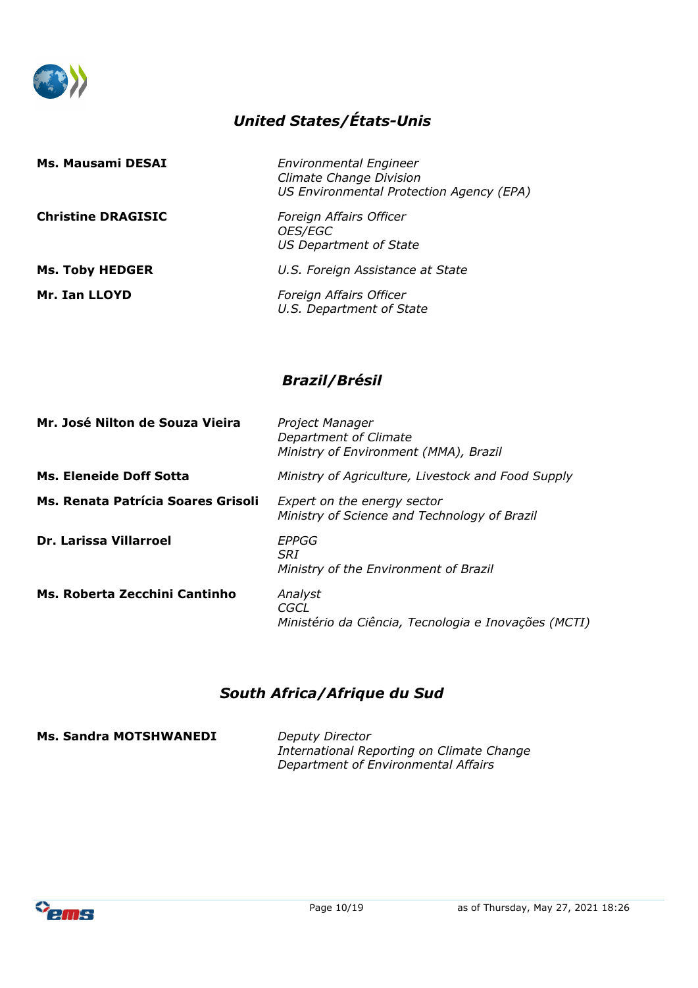

# *United States/États-Unis*

| Ms. Mausami DESAI         | <b>Environmental Engineer</b><br><b>Climate Change Division</b><br>US Environmental Protection Agency (EPA) |
|---------------------------|-------------------------------------------------------------------------------------------------------------|
| <b>Christine DRAGISIC</b> | Foreign Affairs Officer<br>OES/EGC<br>US Department of State                                                |
| <b>Ms. Toby HEDGER</b>    | U.S. Foreign Assistance at State                                                                            |
| Mr. Ian LLOYD             | Foreign Affairs Officer<br>U.S. Department of State                                                         |

## *Brazil/Brésil*

| Mr. José Nilton de Souza Vieira    | Project Manager<br>Department of Climate<br>Ministry of Environment (MMA), Brazil |
|------------------------------------|-----------------------------------------------------------------------------------|
| <b>Ms. Eleneide Doff Sotta</b>     | Ministry of Agriculture, Livestock and Food Supply                                |
| Ms. Renata Patrícia Soares Grisoli | Expert on the energy sector<br>Ministry of Science and Technology of Brazil       |
| <b>Dr. Larissa Villarroel</b>      | EPPGG<br><b>SRI</b><br>Ministry of the Environment of Brazil                      |
| Ms. Roberta Zecchini Cantinho      | Analyst<br>CGCL<br>Ministério da Ciência, Tecnologia e Inovações (MCTI)           |

# *South Africa/Afrique du Sud*

**Ms. Sandra MOTSHWANEDI** *Deputy Director*

*International Reporting on Climate Change Department of Environmental Affairs*

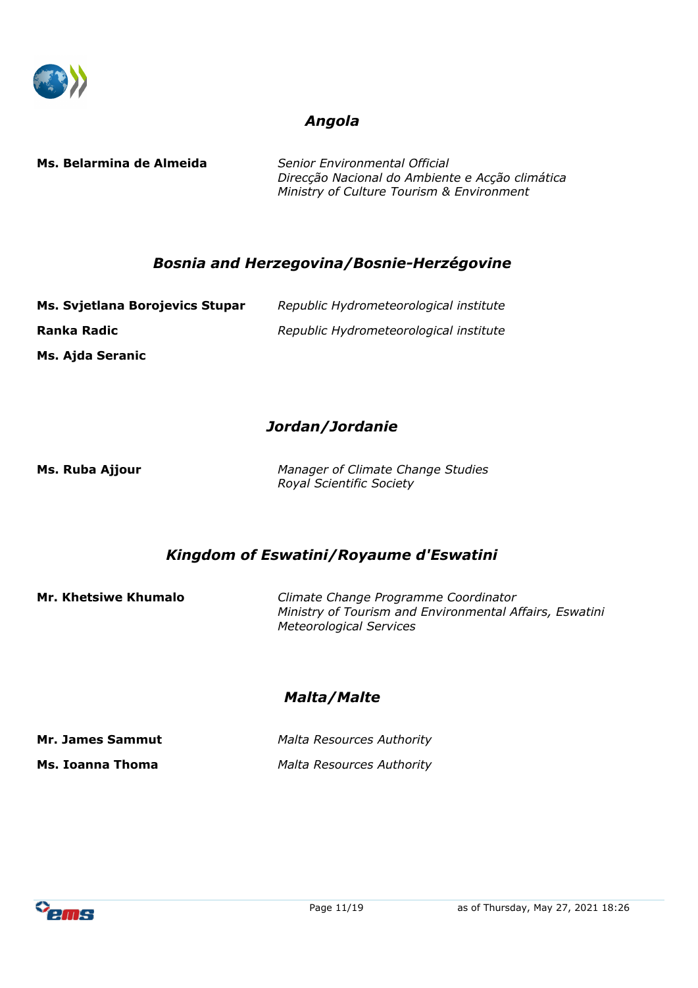

#### *Angola*

**Ms. Belarmina de Almeida** *Senior Environmental Official*

*Direcção Nacional do Ambiente e Acção climática Ministry of Culture Tourism & Environment*

#### *Bosnia and Herzegovina/Bosnie-Herzégovine*

| Ms. Svjetlana Borojevics Stupar | Republic Hydrometeorological institute |
|---------------------------------|----------------------------------------|
| Ranka Radic                     | Republic Hydrometeorological institute |
| Ms. Ajda Seranic                |                                        |

# *Jordan/Jordanie*

**Ms. Ruba Ajjour** *Manager of Climate Change Studies Royal Scientific Society*

#### *Kingdom of Eswatini/Royaume d'Eswatini*

**Mr. Khetsiwe Khumalo** *Climate Change Programme Coordinator Ministry of Tourism and Environmental Affairs, Eswatini Meteorological Services*

## *Malta/Malte*

| Mr. James Sammut | <b>Malta Resources Authority</b> |
|------------------|----------------------------------|
| Ms. Ioanna Thoma | <b>Malta Resources Authority</b> |

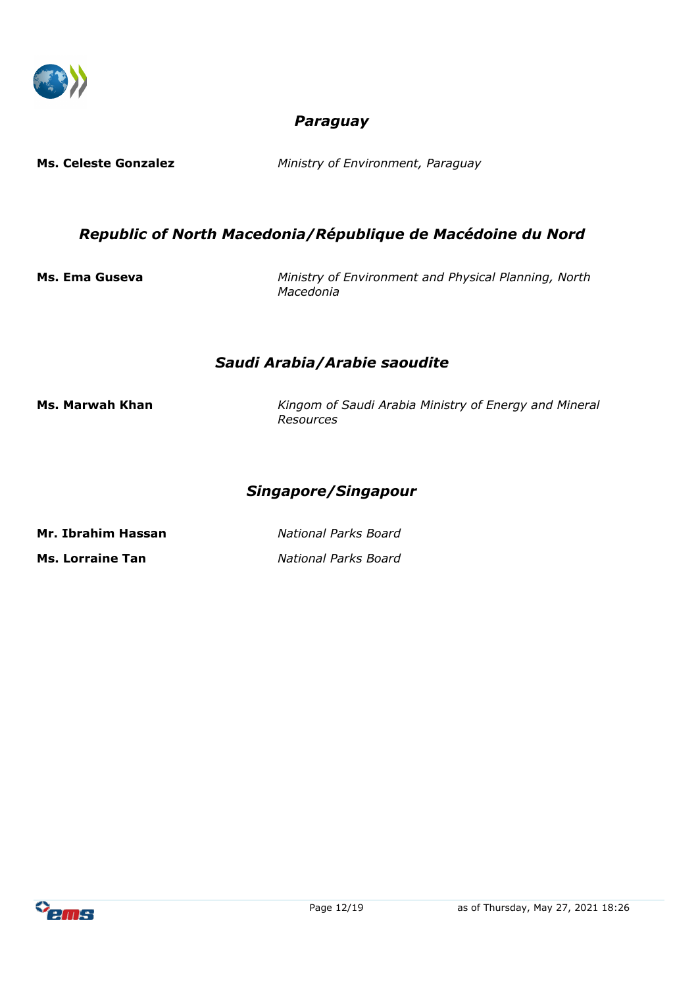

### *Paraguay*

**Ms. Celeste Gonzalez** *Ministry of Environment, Paraguay*

#### *Republic of North Macedonia/République de Macédoine du Nord*

**Ms. Ema Guseva** *Ministry of Environment and Physical Planning, North Macedonia*

#### *Saudi Arabia/Arabie saoudite*

**Ms. Marwah Khan** *Kingom of Saudi Arabia Ministry of Energy and Mineral Resources*

#### *Singapore/Singapour*

**Mr. Ibrahim Hassan** *National Parks Board* **Ms. Lorraine Tan** *National Parks Board*

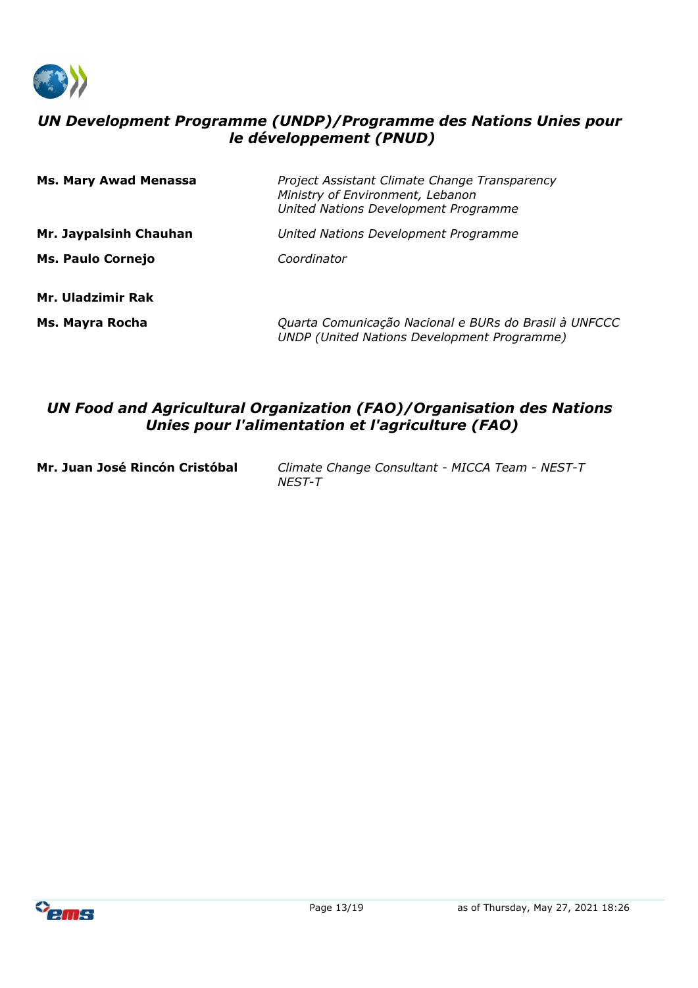

### *UN Development Programme (UNDP)/Programme des Nations Unies pour le développement (PNUD)*

| <b>Ms. Mary Awad Menassa</b> | Project Assistant Climate Change Transparency<br>Ministry of Environment, Lebanon<br>United Nations Development Programme |
|------------------------------|---------------------------------------------------------------------------------------------------------------------------|
| Mr. Jaypalsinh Chauhan       | United Nations Development Programme                                                                                      |
| <b>Ms. Paulo Cornejo</b>     | Coordinator                                                                                                               |
| Mr. Uladzimir Rak            |                                                                                                                           |
| Ms. Mayra Rocha              | Quarta Comunicação Nacional e BURs do Brasil à UNFCCC<br><b>UNDP</b> (United Nations Development Programme)               |

#### *UN Food and Agricultural Organization (FAO)/Organisation des Nations Unies pour l'alimentation et l'agriculture (FAO)*

**Mr. Juan José Rincón Cristóbal** *Climate Change Consultant - MICCA Team - NEST-T NEST-T*

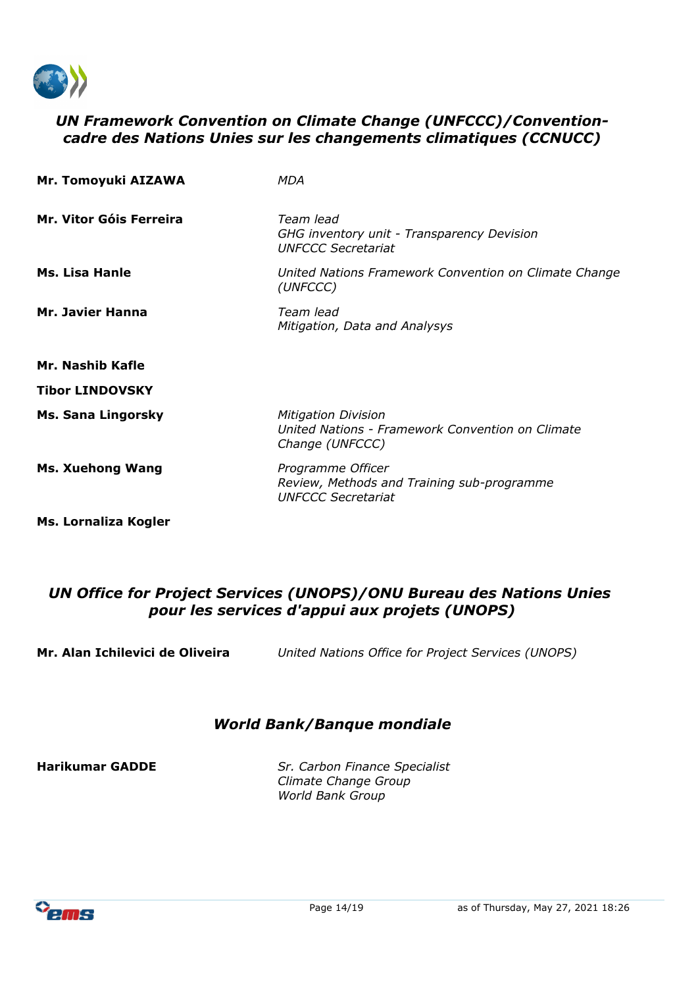

#### *UN Framework Convention on Climate Change (UNFCCC)/Conventioncadre des Nations Unies sur les changements climatiques (CCNUCC)*

| Mr. Tomoyuki AIZAWA         | MDA                                                                                               |
|-----------------------------|---------------------------------------------------------------------------------------------------|
| Mr. Vitor Góis Ferreira     | Team lead<br>GHG inventory unit - Transparency Devision<br><b>UNFCCC Secretariat</b>              |
| <b>Ms. Lisa Hanle</b>       | United Nations Framework Convention on Climate Change<br>(UNFCCC)                                 |
| <b>Mr. Javier Hanna</b>     | Team lead<br>Mitigation, Data and Analysys                                                        |
| Mr. Nashib Kafle            |                                                                                                   |
| <b>Tibor LINDOVSKY</b>      |                                                                                                   |
| <b>Ms. Sana Lingorsky</b>   | <b>Mitigation Division</b><br>United Nations - Framework Convention on Climate<br>Change (UNFCCC) |
| <b>Ms. Xuehong Wang</b>     | Programme Officer<br>Review, Methods and Training sub-programme<br><b>UNFCCC Secretariat</b>      |
| <b>Ms. Lornaliza Kogler</b> |                                                                                                   |

#### *UN Office for Project Services (UNOPS)/ONU Bureau des Nations Unies pour les services d'appui aux projets (UNOPS)*

**Mr. Alan Ichilevici de Oliveira** *United Nations Office for Project Services (UNOPS)*

#### *World Bank/Banque mondiale*

**Harikumar GADDE** *Sr. Carbon Finance Specialist Climate Change Group World Bank Group*

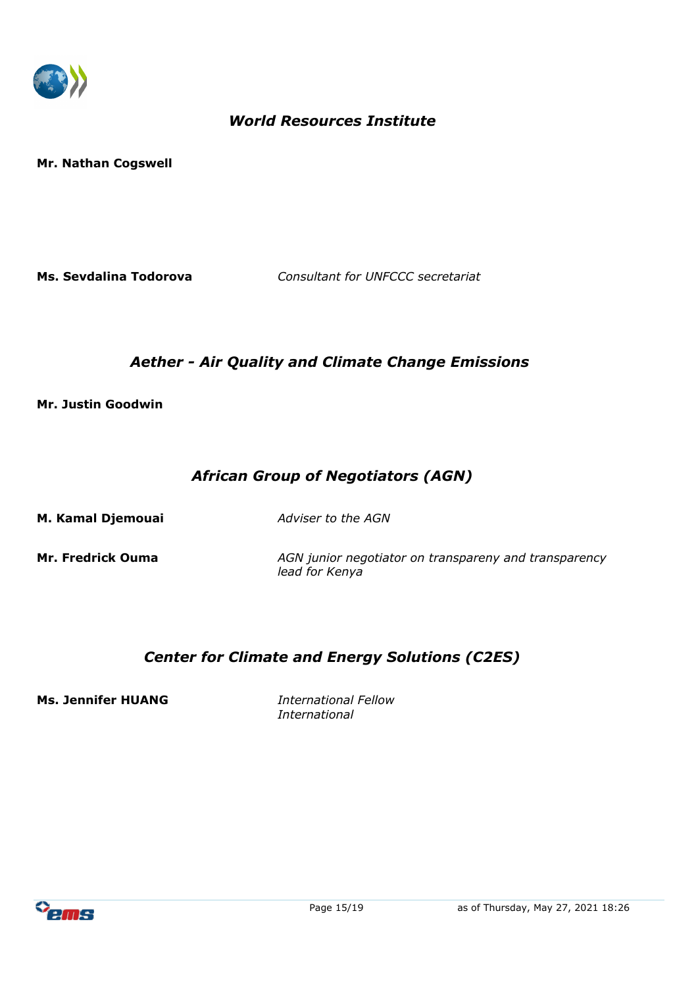

### *World Resources Institute*

**Mr. Nathan Cogswell**

**Ms. Sevdalina Todorova** *Consultant for UNFCCC secretariat* 

#### *Aether - Air Quality and Climate Change Emissions*

**Mr. Justin Goodwin**

## *African Group of Negotiators (AGN)*

**M. Kamal Djemouai** *Adviser to the AGN*

**Mr. Fredrick Ouma** *AGN junior negotiator on transpareny and transparency lead for Kenya* 

## *Center for Climate and Energy Solutions (C2ES)*

**Ms. Jennifer HUANG** *International Fellow*

*International*

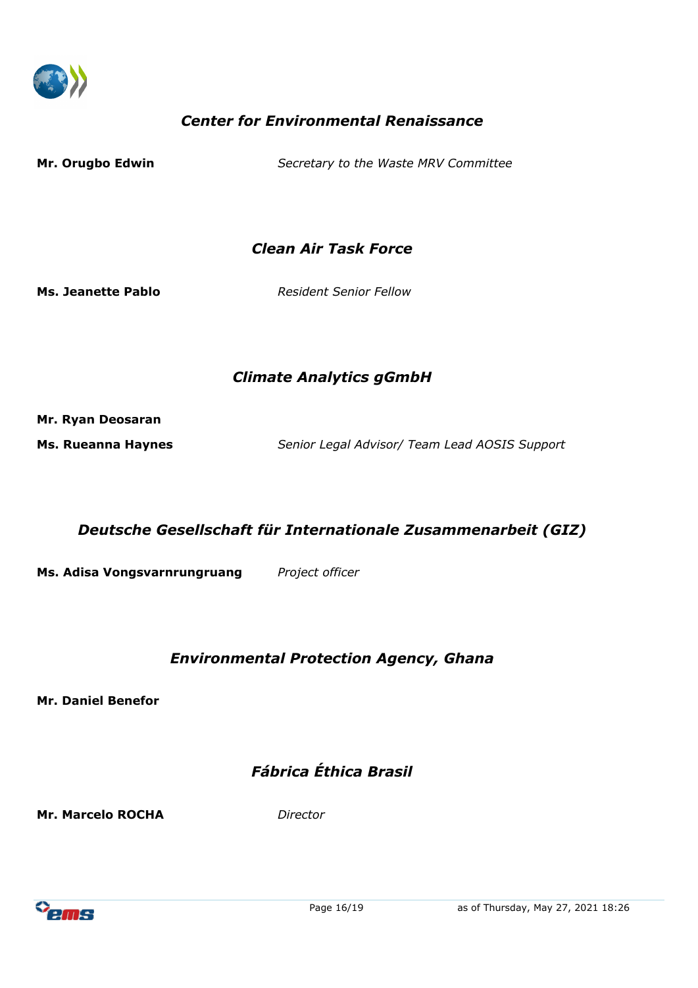

# *Center for Environmental Renaissance*

| Mr. Orugbo Edwin | Secretary to the Waste MRV Committee |  |
|------------------|--------------------------------------|--|
|                  |                                      |  |

*Clean Air Task Force*

**Ms. Jeanette Pablo** *Resident Senior Fellow* 

#### *Climate Analytics gGmbH*

**Mr. Ryan Deosaran**

**Ms. Rueanna Haynes** *Senior Legal Advisor/ Team Lead AOSIS Support*

*Deutsche Gesellschaft für Internationale Zusammenarbeit (GIZ)*

**Ms. Adisa Vongsvarnrungruang** *Project officer*

# *Environmental Protection Agency, Ghana*

**Mr. Daniel Benefor**

# *Fábrica Éthica Brasil*

**Mr. Marcelo ROCHA** *Director*

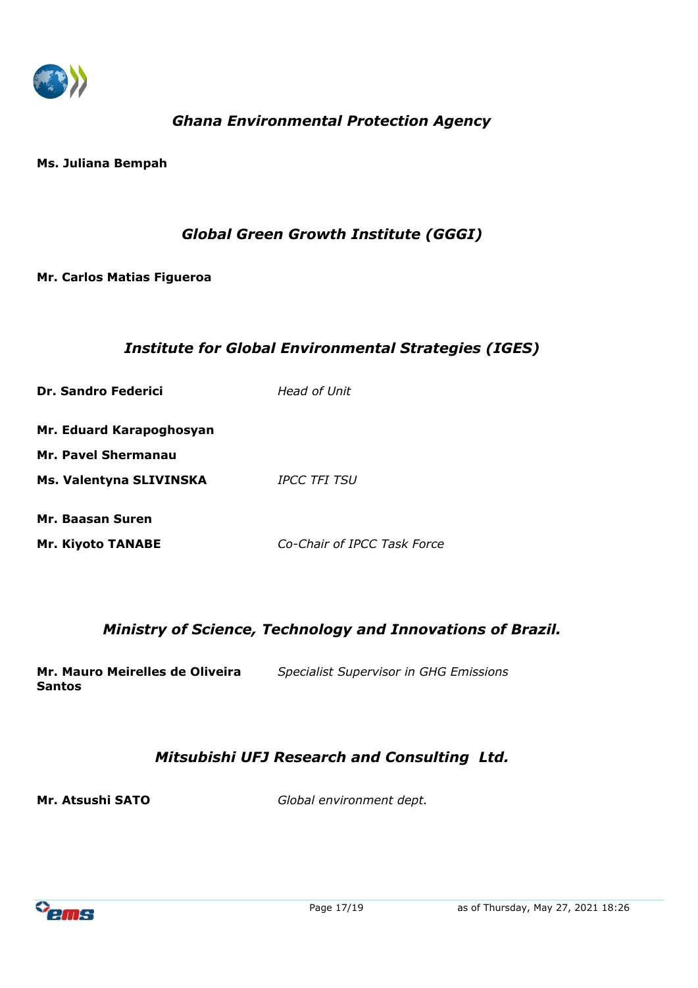

# *Ghana Environmental Protection Agency*

**Ms. Juliana Bempah**

#### *Global Green Growth Institute (GGGI)*

#### **Mr. Carlos Matias Figueroa**

#### *Institute for Global Environmental Strategies (IGES)*

| <b>Dr. Sandro Federici</b> | Head of Unit |
|----------------------------|--------------|
| Mr. Eduard Karapoghosyan   |              |
| Mr. Pavel Shermanau        |              |
| Ms. Valentyna SLIVINSKA    | IPCC TFI TSU |
| Mr. Baasan Suren           |              |

# **Mr. Kiyoto TANABE** *Co-Chair of IPCC Task Force*

#### *Ministry of Science, Technology and Innovations of Brazil.*

**Mr. Mauro Meirelles de Oliveira Santos** *Specialist Supervisor in GHG Emissions*

## *Mitsubishi UFJ Research and Consulting Ltd.*

**Mr. Atsushi SATO** *Global environment dept.*

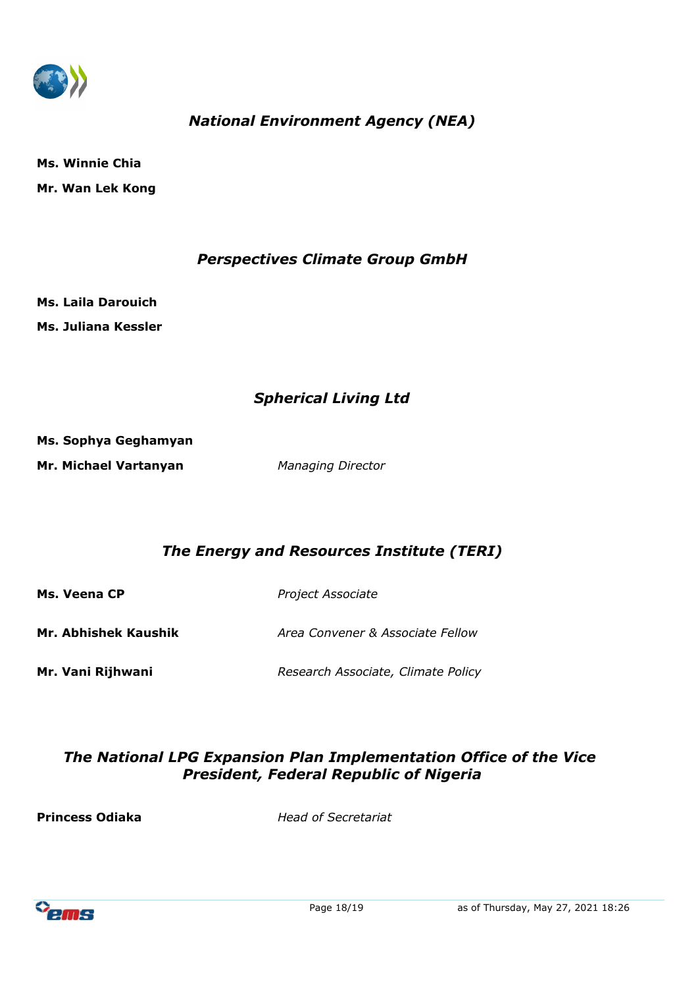

# *National Environment Agency (NEA)*

**Ms. Winnie Chia Mr. Wan Lek Kong**

#### *Perspectives Climate Group GmbH*

**Ms. Laila Darouich Ms. Juliana Kessler**

## *Spherical Living Ltd*

**Ms. Sophya Geghamyan Mr. Michael Vartanyan** *Managing Director*

## *The Energy and Resources Institute (TERI)*

**Ms. Veena CP** *Project Associate* **Mr. Abhishek Kaushik** *Area Convener & Associate Fellow*

**Mr. Vani Rijhwani** *Research Associate, Climate Policy* 

## *The National LPG Expansion Plan Implementation Office of the Vice President, Federal Republic of Nigeria*

**Princess Odiaka** *Head of Secretariat*